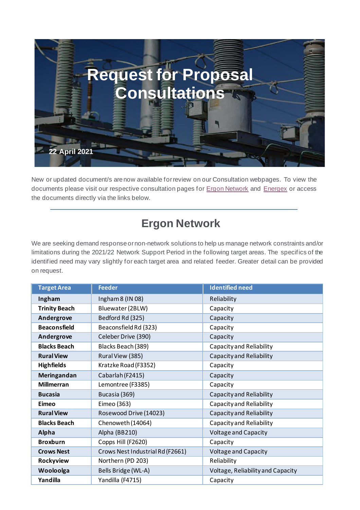

New or updated document/s arenow available forreview on our Consultation webpages. To view the documents please visit our respective consultation pages for **Ergon Network** and **Energex** or access the documents directly via the links below.

## **Ergon Network**

We are seeking demand response or non-network solutions to help us manage network constraints and/or limitations during the 2021/22 Network Support Period in the following target areas. The specifics of the identified need may vary slightly for each target area and related feeder. Greater detail can be provided on request.

| <b>Target Area</b>   | <b>Feeder</b>                    | <b>Identified need</b>            |
|----------------------|----------------------------------|-----------------------------------|
| Ingham               | Ingham 8 (IN 08)                 | Reliability                       |
| <b>Trinity Beach</b> | Bluewater (2BLW)                 | Capacity                          |
| Andergrove           | Bedford Rd (325)                 | Capacity                          |
| <b>Beaconsfield</b>  | Beaconsfield Rd (323)            | Capacity                          |
| Andergrove           | Celeber Drive (390)              | Capacity                          |
| <b>Blacks Beach</b>  | Blacks Beach (389)               | Capacity and Reliability          |
| <b>Rural View</b>    | Rural View (385)                 | Capacity and Reliability          |
| <b>Highfields</b>    | Kratzke Road (F3352)             | Capacity                          |
| <b>Meringandan</b>   | Cabarlah (F2415)                 | Capacity                          |
| <b>Millmerran</b>    | Lemontree (F3385)                | Capacity                          |
| <b>Bucasia</b>       | Bucasia (369)                    | Capacity and Reliability          |
| Eimeo                | Eimeo (363)                      | Capacity and Reliability          |
| <b>Rural View</b>    | Rosewood Drive (14023)           | Capacity and Reliability          |
| <b>Blacks Beach</b>  | Chenoweth (14064)                | Capacity and Reliability          |
| Alpha                | Alpha (BB210)                    | <b>Voltage and Capacity</b>       |
| <b>Broxburn</b>      | Copps Hill (F2620)               | Capacity                          |
| <b>Crows Nest</b>    | Crows Nest Industrial Rd (F2661) | <b>Voltage and Capacity</b>       |
| Rockyview            | Northern (PD 203)                | Reliability                       |
| Wooloolga            | Bells Bridge (WL-A)              | Voltage, Reliability and Capacity |
| Yandilla             | Yandilla (F4715)                 | Capacity                          |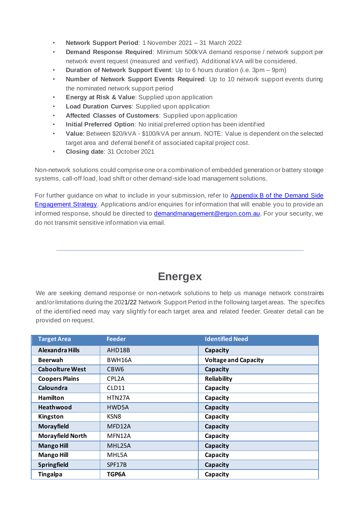- **Network Support Period**: 1 November 2021 31 March 2022
- **Demand Response Required**: Minimum 500kVA demand response / network support per network event request (measured and verified). Additional kVA will be considered.
- **Duration of Network Support Event**: Up to 6 hours duration (i.e. 3pm 9pm)
- **Number of Network Support Events Required**: Up to 10 network support events during the nominated network support period
- **Energy at Risk & Value:** Supplied upon application
- **Load Duration Curves**: Supplied upon application
- **Affected Classes of Customers**: Supplied upon application
- **Initial Preferred Option**: No initial preferred option has been identified
- **Value**: Between \$20/kVA \$100/kVA per annum. NOTE: Value is dependent on the selected target area and deferral benefit of associated capital project cost.
- **Closing date**: 31 October 2021

Non-network solutions could comprise one ora combination of embedded generation or battery storage systems, call-off load, load shift or other demand-side load management solutions.

For further guidance on what to include in your submission, refer to [Appendix B of the Demand Side](https://www.ergon.com.au/__data/assets/pdf_file/0003/165819/Demand-Side-Engagement-Strategy.pdf)  [Engagement Strategy.](https://www.ergon.com.au/__data/assets/pdf_file/0003/165819/Demand-Side-Engagement-Strategy.pdf) Applications and/or enquiries for information that will enable you to provide an informed response, should be directed to **demandmanagement@ergon.com.au**. For your security, we do not transmit sensitive information via email.

## **Energex**

We are seeking demand response or non-network solutions to help us manage network constraints and/orlimitations during the 2021/22 Network Support Period inthe following target areas. The specifics of the identified need may vary slightly for each target area and related feeder. Greater detail can be provided on request.

| <b>Target Area</b>      | <b>Feeder</b>      | <b>Identified Need</b>      |
|-------------------------|--------------------|-----------------------------|
| <b>Alexandra Hills</b>  | AHD18B             | Capacity                    |
| <b>Beerwah</b>          | BWH16A             | <b>Voltage and Capacity</b> |
| <b>Caboolture West</b>  | CBW <sub>6</sub>   | Capacity                    |
| <b>Coopers Plains</b>   | CPL <sub>2</sub> A | <b>Reliability</b>          |
| Caloundra               | CLD11              | Capacity                    |
| <b>Hamilton</b>         | HTN27A             | Capacity                    |
| <b>Heathwood</b>        | HWD5A              | Capacity                    |
| Kingston                | KSN <sub>8</sub>   | Capacity                    |
| <b>Morayfield</b>       | MFD12A             | Capacity                    |
| <b>Morayfield North</b> | MFN12A             | Capacity                    |
| <b>Mango Hill</b>       | MHL25A             | Capacity                    |
| <b>Mango Hill</b>       | MHL5A              | Capacity                    |
| <b>Springfield</b>      | SPF17B             | Capacity                    |
| <b>Tingalpa</b>         | TGP6A              | Capacity                    |